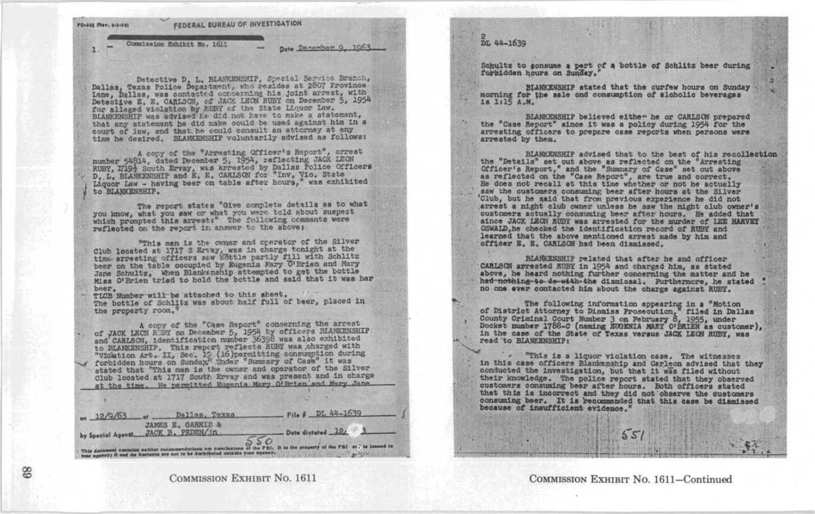2 DL 44-1639

FO-000 (Nev. 1-3-51) FEDERAL BUREAU OF INVESTIGATION

Commission Exhibit No. 1611

pate Pacambert 9, 1963

Detective D. L. BLANKENSHIP, Special Service Branch, Dallas, Texas Police Department, who resides at 2807 Province Lane, Dallas, was contacted concerning his joint arrest, with Detective E. E. CARLSCH, of JACK LEON RUBY on December 5, 1954 for alleged violation by RUBY of the State Liquor Law. BLANKENSHIP was advised he did not have to make a statement, that any statement he did make could be used ageinst him in a court of law, and that he could consult an attorney at any time he desired. BLANKENSHIP voluntarily advised as follows:

A copy of the "Arresting Officer's Report", arrest number 54814, dated December 5, 1954, reflecting JACK LEON<br>RUBY, 17194 South Ervay, was arrested by Dallas Police Officers<br>D.L. BLANKENSHIP and E. E. CARISON for "Inv. Vice State State State State State State State State Liquor Law - having beer on table after hours," was exhibited to BLANKINSHIP.

The report states "Give complete details as to what you know, what you saw or what you were told about suspect which prompted this arrest:" The following comments were reflected on the report in answer to the above;

"This man is the owner and operator of the Silver Club located at 1717 S Ervay, was in charge tonight at the<br>time-arresting officers saw bottle partly fill with Schlitz<br>partly fill with Schlitz beer on the table occupied by Eugenia Yary 'O'Brien and Mary Jane Schultz, When Blankenship attempted to get the bottle Miss O'Brien tried to hold the bottle and said that it was her

beer.<br>TLCB Number will be attached to this sheet. TLCB Number will be attached to this sheet.<br>The bottle of Schlitz was about half full of beer, placed in the property room .'

A copy of the "Case Report" concerning the arrest of JACK LECN REET on December 5, 1954 by officers BLANKENSHIP and CARLSON, identification number 36398 was also exhibited and CARLSON, identification number 36398 was also exhibited<br>to HLANKENSHIP. This report reflects HUBY was charged with<br>"Vicktion Art. II, Sec. 15 (16)permitting consumption during<br>forbidden hours on Sunday." Thder "Summary stated that "This man is the owner and operator of the Silver rorbiden nours on concea, where and operator of the Silver<br>Club located at 1717 South Ervay and was present and in charge<br>at the time. He permitted Eugenia Mary O'Brien and Mary Jane at the time. He permitted Rugenia Mary O'Rmien and Mary Jana-



## COMMISSION EXHIBIT NO. 1611

Schultz to sonsume a pert of a bottle of Schlitz beer during forbidden hours on Sunday,

BLANKENSHIP stated that the curfew hours on Sunday morning for tiha sale and consumption of alcholie beverages is <sup>1115</sup> A.M,

BLANKENSHIP believed either he or CARLSCH prepared the "Case Report" since it was a policy during 1954 for the<br>arresting officers to prepare case reports when persona were arrested by them.

BLANKENSHIP advised that to the beat of his recollection the "Details" set out above as reflected on the Arresting Officer's Report," and the "Summary of Case" set out above &a reflected on the "Case Report", are true and correct. He does not recall at this time whether or not he actually saw the customers consuming beer after hours at the Silver Club, but he said that from previous experience he did not arrest a night club owner unless he saw the night club owner's customers actually consuming beer after hours. He added that since JACK LEON RUBY was arrested for the murder of LEE HARVEY OSWALD,he checked the identification record of RUBY and learned that the above mentioned arrest made by him and officer E. E. CARLSON had been dismissed.

BLANKENSHIP related that after he and officer ' 'CARLSON arrested RUBY in 1954 and charged him, as stated above, he heard nothing further concerning the matter and he had-nothing-to-do-with-the dismissal. Furthermore, he stated no one ever contacted him about the charge against RUBY .

The following information appearing in a "Motion"<br>of District Attorney to Dinmiss Prosecution filed in Dallas County Criminal Court Number 3 on February 6, 1955, under<br>Docket number 1788-C (naming BUOENIA MARY O'BRIEN as customer),<br>in the case of the State of Texas versus JACK LEON RUBY, was<br>read to BLANKENSHIP:

"This is a liquor violation case. The witnesses in this case officers Blankenship and Carleon advised that they conducted the investigation, but that it was filed without their knowledge. The police report stated customers consuming beer after hours. Both officers stated that this is incorrect and they did not observe the customers<br>consuming beer. It is recommonded that this case be dismissed<br>because of insufficient evidence ."

COMMISSION EXHIBIT NO. 1611-Continued

 $55$